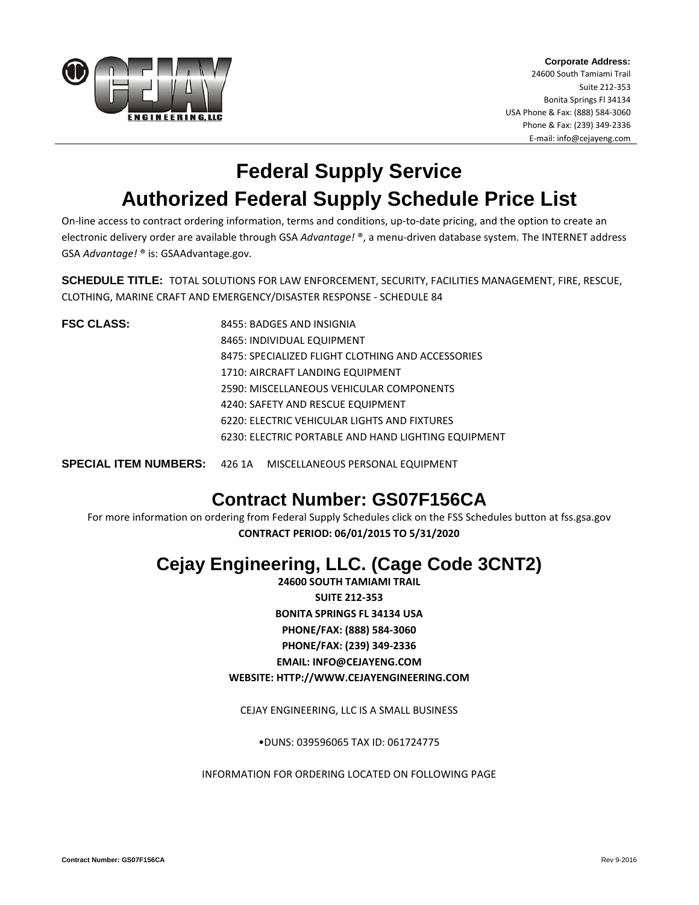

**Corporate Address:** 24600 South Tamiami Trail Suite 212-353 Bonita Springs Fl 34134 USA Phone & Fax: (888) 584-3060 Phone & Fax: (239) 349-2336 E-mail: info@cejayeng.com

# **Federal Supply Service Authorized Federal Supply Schedule Price List**

On-line access to contract ordering information, terms and conditions, up-to-date pricing, and the option to create an electronic delivery order are available through GSA *Advantage!* ®, a menu-driven database system. The INTERNET address GSA *Advantage!* ® is: GSAAdvantage.gov.

**SCHEDULE TITLE:** TOTAL SOLUTIONS FOR LAW ENFORCEMENT, SECURITY, FACILITIES MANAGEMENT, FIRE, RESCUE, CLOTHING, MARINE CRAFT AND EMERGENCY/DISASTER RESPONSE - SCHEDULE 84

**FSC CLASS:** 8455: BADGES AND INSIGNIA 8465: INDIVIDUAL EQUIPMENT 8475: SPECIALIZED FLIGHT CLOTHING AND ACCESSORIES 1710: AIRCRAFT LANDING EQUIPMENT 2590: MISCELLANEOUS VEHICULAR COMPONENTS 4240: SAFETY AND RESCUE EQUIPMENT 6220: ELECTRIC VEHICULAR LIGHTS AND FIXTURES 6230: ELECTRIC PORTABLE AND HAND LIGHTING EQUIPMENT

**SPECIAL ITEM NUMBERS:** 426 1A MISCELLANEOUS PERSONAL EQUIPMENT

## **Contract Number: GS07F156CA**

For more information on ordering from Federal Supply Schedules click on the FSS Schedules button at fss.gsa.gov **CONTRACT PERIOD: 06/01/2015 TO 5/31/2020**

## **Cejay Engineering, LLC. (Cage Code 3CNT2)**

**24600 SOUTH TAMIAMI TRAIL SUITE 212-353 BONITA SPRINGS FL 34134 USA PHONE/FAX: (888) 584-3060 PHONE/FAX: (239) 349-2336 EMAIL: [INFO@CEJAYENG.COM](mailto:info@cejayeng.com) WEBSITE: [HTTP://WWW.CEJAYENGINEERING.COM](http://www.cejayengineering.com/)**

CEJAY ENGINEERING, LLC IS A SMALL BUSINESS

•DUNS: 039596065 TAX ID: 061724775

INFORMATION FOR ORDERING LOCATED ON FOLLOWING PAGE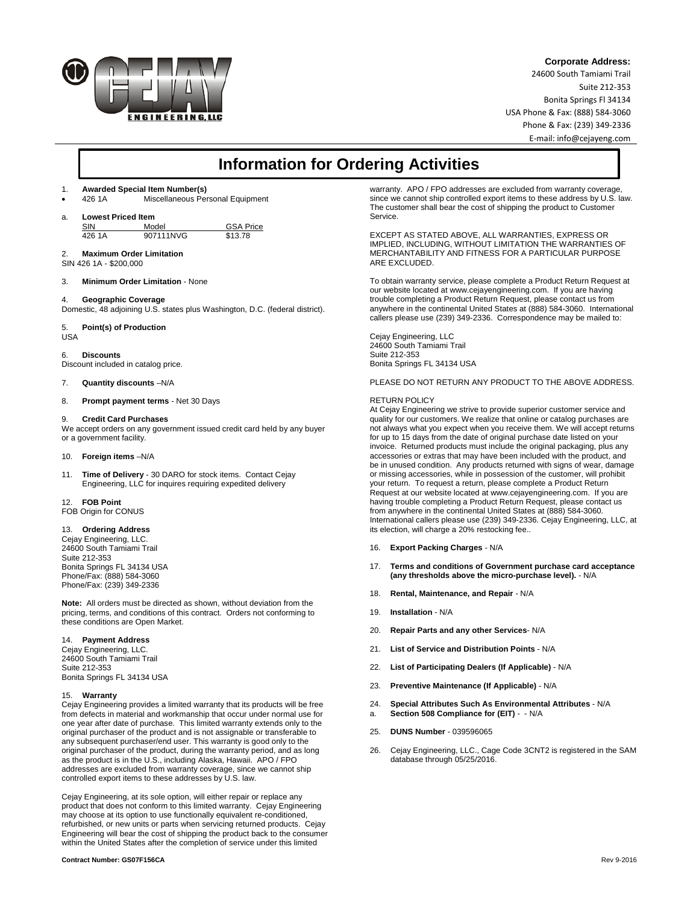

#### **Corporate Address:**

24600 South Tamiami Trail Suite 212-353 Bonita Springs Fl 34134 USA Phone & Fax: (888) 584-3060 Phone & Fax: (239) 349-2336 E-mail: info@cejayeng.com

### **Information for Ordering Activities**

### 1. **Awarded Special Item Number(s)**

Miscellaneous Personal Equipment

a. **Lowest Priced Item**

SIN Model GSA Price<br>426.1A 907111NVG \$13.78 907111NVG

#### 2. **Maximum Order Limitation**

SIN 426 1A - \$200,000

3. **Minimum Order Limitation** - None

4. **Geographic Coverage**

Domestic, 48 adjoining U.S. states plus Washington, D.C. (federal district).

#### 5. **Point(s) of Production**

USA

6. **Discounts**

Discount included in catalog price.

7. **Quantity discounts** –N/A

8. **Prompt payment terms** - Net 30 Days

#### 9. **Credit Card Purchases**

We accept orders on any government issued credit card held by any buyer or a government facility.

10. **Foreign items** –N/A

11. **Time of Delivery** - 30 DARO for stock items. Contact Cejay Engineering, LLC for inquires requiring expedited delivery

#### 12. **FOB Point**

FOB Origin for CONUS

#### 13. **Ordering Address**

Cejay Engineering, LLC. 24600 South Tamiami Trail Suite 212-353 Bonita Springs FL 34134 USA Phone/Fax: (888) 584-3060 Phone/Fax: (239) 349-2336

**Note:** All orders must be directed as shown, without deviation from the pricing, terms, and conditions of this contract. Orders not conforming to these conditions are Open Market.

#### 14. **Payment Address**

Cejay Engineering, LLC. 24600 South Tamiami Trail Suite 212-353 Bonita Springs FL 34134 USA

#### 15. **Warranty**

Cejay Engineering provides a limited warranty that its products will be free from defects in material and workmanship that occur under normal use for one year after date of purchase. This limited warranty extends only to the original purchaser of the product and is not assignable or transferable to any subsequent purchaser/end user. This warranty is good only to the original purchaser of the product, during the warranty period, and as long as the product is in the U.S., including Alaska, Hawaii. APO / FPO addresses are excluded from warranty coverage, since we cannot ship controlled export items to these addresses by U.S. law.

Cejay Engineering, at its sole option, will either repair or replace any product that does not conform to this limited warranty. Cejay Engineering may choose at its option to use functionally equivalent re-conditioned, refurbished, or new units or parts when servicing returned products. Cejay Engineering will bear the cost of shipping the product back to the consumer within the United States after the completion of service under this limited

warranty. APO / FPO addresses are excluded from warranty coverage, since we cannot ship controlled export items to these address by U.S. law. The customer shall bear the cost of shipping the product to Customer **Service** 

EXCEPT AS STATED ABOVE, ALL WARRANTIES, EXPRESS OR IMPLIED, INCLUDING, WITHOUT LIMITATION THE WARRANTIES OF MERCHANTABILITY AND FITNESS FOR A PARTICULAR PURPOSE ARE EXCLUDED.

To obtain warranty service, please complete a Product Return Request at our website located at www.cejayengineering.com. If you are having trouble completing a Product Return Request, please contact us from anywhere in the continental United States at (888) 584-3060. International callers please use (239) 349-2336. Correspondence may be mailed to:

Cejay Engineering, LLC 24600 South Tamiami Trail Suite 212-353 Bonita Springs FL 34134 USA

PLEASE DO NOT RETURN ANY PRODUCT TO THE ABOVE ADDRESS.

#### RETURN POLICY

At Cejay Engineering we strive to provide superior customer service and quality for our customers. We realize that online or catalog purchases are not always what you expect when you receive them. We will accept returns for up to 15 days from the date of original purchase date listed on your invoice. Returned products must include the original packaging, plus any accessories or extras that may have been included with the product, and be in unused condition. Any products returned with signs of wear, damage or missing accessories, while in possession of the customer, will prohibit your return. To request a return, please complete a Product Return Request at our website located at www.cejayengineering.com. If you are having trouble completing a Product Return Request, please contact us from anywhere in the continental United States at (888) 584-3060. International callers please use (239) 349-2336. Cejay Engineering, LLC, at its election, will charge a 20% restocking fee..

- 16. **Export Packing Charges** N/A
- 17. **Terms and conditions of Government purchase card acceptance (any thresholds above the micro-purchase level).** - N/A
- 18. **Rental, Maintenance, and Repair** N/A
- 19. **Installation** N/A
- 20. **Repair Parts and any other Services** N/A
- 21. **List of Service and Distribution Points**  N/A
- 22. **List of Participating Dealers (If Applicable)** N/A
- 23. **Preventive Maintenance (If Applicable)** N/A
- 24. **Special Attributes Such As Environmental Attributes** N/A a. **Section 508 Compliance for (EIT)** - - N/A
- 25. **DUNS Number** 039596065
- 26. Cejay Engineering, LLC., Cage Code 3CNT2 is registered in the SAM database through 05/25/2016.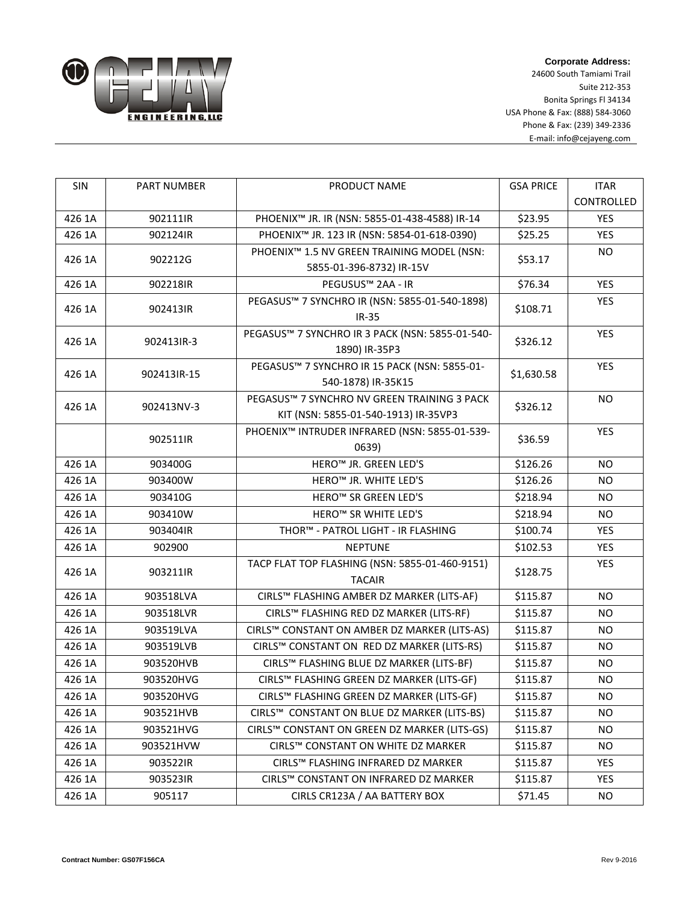

**Corporate Address:** 24600 South Tamiami Trail Suite 212-353 Bonita Springs Fl 34134 USA Phone & Fax: (888) 584-3060 Phone & Fax: (239) 349-2336 E-mail: info@cejayeng.com

| SIN    | PART NUMBER | PRODUCT NAME                                            | <b>GSA PRICE</b> | <b>ITAR</b> |
|--------|-------------|---------------------------------------------------------|------------------|-------------|
|        |             |                                                         |                  | CONTROLLED  |
| 426 1A | 902111IR    | PHOENIX™ JR. IR (NSN: 5855-01-438-4588) IR-14           | \$23.95          | YES         |
| 426 1A | 902124IR    | PHOENIX <sup>™</sup> JR. 123 IR (NSN: 5854-01-618-0390) | \$25.25          | <b>YES</b>  |
| 426 1A | 902212G     | PHOENIX <sup>™</sup> 1.5 NV GREEN TRAINING MODEL (NSN:  | \$53.17          | <b>NO</b>   |
|        |             | 5855-01-396-8732) IR-15V                                |                  |             |
| 426 1A | 902218IR    | PEGUSUS™ 2AA - IR                                       | \$76.34          | <b>YES</b>  |
| 426 1A | 902413IR    | PEGASUS™ 7 SYNCHRO IR (NSN: 5855-01-540-1898)           | \$108.71         | YES         |
|        |             | $IR-35$                                                 |                  |             |
| 426 1A | 902413IR-3  | PEGASUS™ 7 SYNCHRO IR 3 PACK (NSN: 5855-01-540-         | \$326.12         | YES         |
|        |             | 1890) IR-35P3                                           |                  |             |
| 426 1A | 902413IR-15 | PEGASUS™ 7 SYNCHRO IR 15 PACK (NSN: 5855-01-            | \$1,630.58       | <b>YES</b>  |
|        |             | 540-1878) IR-35K15                                      |                  |             |
| 426 1A | 902413NV-3  | PEGASUS™ 7 SYNCHRO NV GREEN TRAINING 3 PACK             | \$326.12         | <b>NO</b>   |
|        |             | KIT (NSN: 5855-01-540-1913) IR-35VP3                    |                  |             |
|        | 902511IR    | PHOENIX™ INTRUDER INFRARED (NSN: 5855-01-539-           | \$36.59          | <b>YES</b>  |
|        |             | 0639)                                                   |                  |             |
| 426 1A | 903400G     | HERO <sup>™</sup> JR. GREEN LED'S                       | \$126.26         | <b>NO</b>   |
| 426 1A | 903400W     | HERO™ JR. WHITE LED'S                                   | \$126.26         | <b>NO</b>   |
| 426 1A | 903410G     | HERO <sup>™</sup> SR GREEN LED'S                        | \$218.94         | <b>NO</b>   |
| 426 1A | 903410W     | HERO <sup>™</sup> SR WHITE LED'S                        | \$218.94         | <b>NO</b>   |
| 426 1A | 903404IR    | THOR™ - PATROL LIGHT - IR FLASHING                      | \$100.74         | <b>YES</b>  |
| 426 1A | 902900      | <b>NEPTUNE</b>                                          | \$102.53         | YES         |
| 426 1A | 903211IR    | TACP FLAT TOP FLASHING (NSN: 5855-01-460-9151)          | \$128.75         | <b>YES</b>  |
|        |             | <b>TACAIR</b>                                           |                  |             |
| 426 1A | 903518LVA   | CIRLS™ FLASHING AMBER DZ MARKER (LITS-AF)               | \$115.87         | <b>NO</b>   |
| 426 1A | 903518LVR   | CIRLS™ FLASHING RED DZ MARKER (LITS-RF)                 | \$115.87         | <b>NO</b>   |
| 426 1A | 903519LVA   | CIRLS™ CONSTANT ON AMBER DZ MARKER (LITS-AS)            | \$115.87         | <b>NO</b>   |
| 426 1A | 903519LVB   | CIRLS™ CONSTANT ON RED DZ MARKER (LITS-RS)              | \$115.87         | <b>NO</b>   |
| 426 1A | 903520HVB   | CIRLS™ FLASHING BLUE DZ MARKER (LITS-BF)                | \$115.87         | <b>NO</b>   |
| 426 1A | 903520HVG   | CIRLS™ FLASHING GREEN DZ MARKER (LITS-GF)               | \$115.87         | <b>NO</b>   |
| 426 1A | 903520HVG   | CIRLS™ FLASHING GREEN DZ MARKER (LITS-GF)               | \$115.87         | <b>NO</b>   |
| 426 1A | 903521HVB   | CIRLS™ CONSTANT ON BLUE DZ MARKER (LITS-BS)             | \$115.87         | NO.         |
| 426 1A | 903521HVG   | CIRLS™ CONSTANT ON GREEN DZ MARKER (LITS-GS)            | \$115.87         | <b>NO</b>   |
| 426 1A | 903521HVW   | CIRLS™ CONSTANT ON WHITE DZ MARKER                      | \$115.87         | NO.         |
| 426 1A | 903522IR    | CIRLS™ FLASHING INFRARED DZ MARKER                      | \$115.87         | <b>YES</b>  |
| 426 1A | 903523IR    | CIRLS™ CONSTANT ON INFRARED DZ MARKER                   | \$115.87         | <b>YES</b>  |
| 426 1A | 905117      | CIRLS CR123A / AA BATTERY BOX                           | \$71.45          | NO          |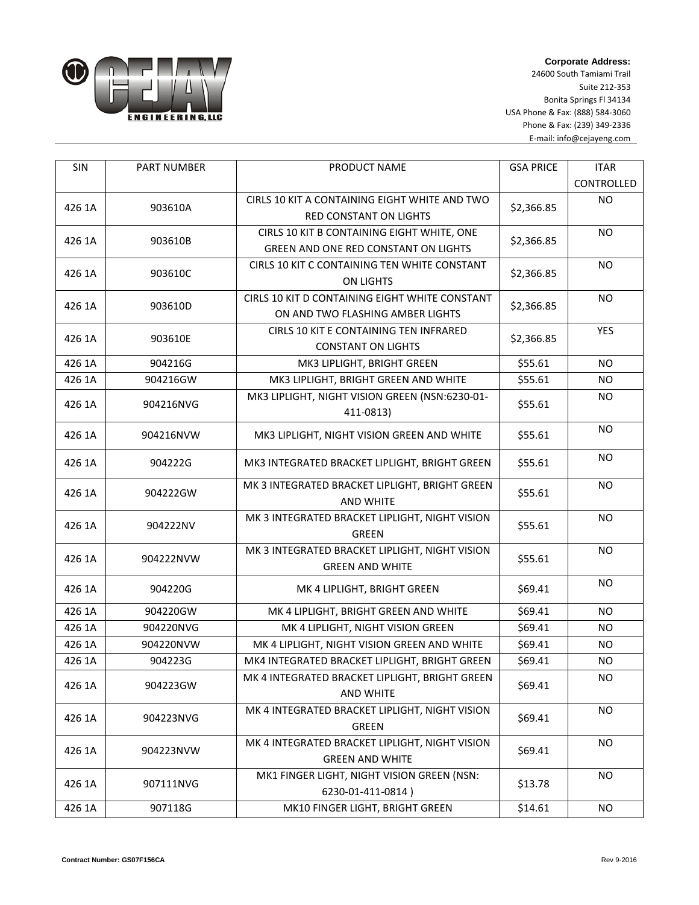

**Corporate Address:** 24600 South Tamiami Trail

Suite 212-353 Bonita Springs Fl 34134 USA Phone & Fax: (888) 584-3060 Phone & Fax: (239) 349-2336 E-mail: info@cejayeng.com

| SIN    | <b>PART NUMBER</b> | PRODUCT NAME                                   | <b>GSA PRICE</b> | <b>ITAR</b> |
|--------|--------------------|------------------------------------------------|------------------|-------------|
|        |                    |                                                |                  | CONTROLLED  |
| 426 1A | 903610A            | CIRLS 10 KIT A CONTAINING EIGHT WHITE AND TWO  | \$2,366.85       | <b>NO</b>   |
|        |                    | RED CONSTANT ON LIGHTS                         |                  |             |
| 426 1A | 903610B            | CIRLS 10 KIT B CONTAINING EIGHT WHITE, ONE     | \$2,366.85       | <b>NO</b>   |
|        |                    | GREEN AND ONE RED CONSTANT ON LIGHTS           |                  |             |
| 426 1A | 903610C            | CIRLS 10 KIT C CONTAINING TEN WHITE CONSTANT   | \$2,366.85       | <b>NO</b>   |
|        |                    | <b>ON LIGHTS</b>                               |                  |             |
| 426 1A | 903610D            | CIRLS 10 KIT D CONTAINING EIGHT WHITE CONSTANT | \$2,366.85       | <b>NO</b>   |
|        |                    | ON AND TWO FLASHING AMBER LIGHTS               |                  |             |
| 426 1A | 903610E            | CIRLS 10 KIT E CONTAINING TEN INFRARED         | \$2,366.85       | <b>YES</b>  |
|        |                    | <b>CONSTANT ON LIGHTS</b>                      |                  |             |
| 426 1A | 904216G            | MK3 LIPLIGHT, BRIGHT GREEN                     | \$55.61          | <b>NO</b>   |
| 426 1A | 904216GW           | MK3 LIPLIGHT, BRIGHT GREEN AND WHITE           | \$55.61          | <b>NO</b>   |
| 426 1A | 904216NVG          | MK3 LIPLIGHT, NIGHT VISION GREEN (NSN:6230-01- | \$55.61          | <b>NO</b>   |
|        |                    | 411-0813)                                      |                  |             |
| 426 1A | 904216NVW          | MK3 LIPLIGHT, NIGHT VISION GREEN AND WHITE     | \$55.61          | <b>NO</b>   |
|        |                    |                                                |                  |             |
| 426 1A | 904222G            | MK3 INTEGRATED BRACKET LIPLIGHT, BRIGHT GREEN  | \$55.61          | <b>NO</b>   |
|        | 904222GW           | MK 3 INTEGRATED BRACKET LIPLIGHT, BRIGHT GREEN | \$55.61          | <b>NO</b>   |
| 426 1A |                    | <b>AND WHITE</b>                               |                  |             |
|        |                    | MK 3 INTEGRATED BRACKET LIPLIGHT, NIGHT VISION |                  | <b>NO</b>   |
| 426 1A | 904222NV           | <b>GREEN</b>                                   | \$55.61          |             |
|        | 904222NVW          | MK 3 INTEGRATED BRACKET LIPLIGHT, NIGHT VISION | \$55.61          | <b>NO</b>   |
| 426 1A |                    | <b>GREEN AND WHITE</b>                         |                  |             |
| 426 1A | 904220G            | MK 4 LIPLIGHT, BRIGHT GREEN                    | \$69.41          | <b>NO</b>   |
|        |                    |                                                |                  |             |
| 426 1A | 904220GW           | MK 4 LIPLIGHT, BRIGHT GREEN AND WHITE          | \$69.41          | <b>NO</b>   |
| 426 1A | 904220NVG          | MK 4 LIPLIGHT, NIGHT VISION GREEN              | \$69.41          | <b>NO</b>   |
| 426 1A | 904220NVW          | MK 4 LIPLIGHT, NIGHT VISION GREEN AND WHITE    | \$69.41          | <b>NO</b>   |
| 426 1A | 904223G            | MK4 INTEGRATED BRACKET LIPLIGHT, BRIGHT GREEN  | \$69.41          | <b>NO</b>   |
| 426 1A | 904223GW           | MK 4 INTEGRATED BRACKET LIPLIGHT, BRIGHT GREEN | \$69.41          | NO          |
|        |                    | AND WHITE                                      |                  |             |
| 426 1A | 904223NVG          | MK 4 INTEGRATED BRACKET LIPLIGHT, NIGHT VISION | \$69.41          | <b>NO</b>   |
|        |                    | GREEN                                          |                  |             |
| 426 1A | 904223NVW          | MK 4 INTEGRATED BRACKET LIPLIGHT, NIGHT VISION | \$69.41          | <b>NO</b>   |
|        |                    | <b>GREEN AND WHITE</b>                         |                  |             |
| 426 1A | 907111NVG          | MK1 FINGER LIGHT, NIGHT VISION GREEN (NSN:     | \$13.78          | NO.         |
|        |                    | 6230-01-411-0814)                              |                  |             |
| 426 1A | 907118G            | MK10 FINGER LIGHT, BRIGHT GREEN                | \$14.61          | NO.         |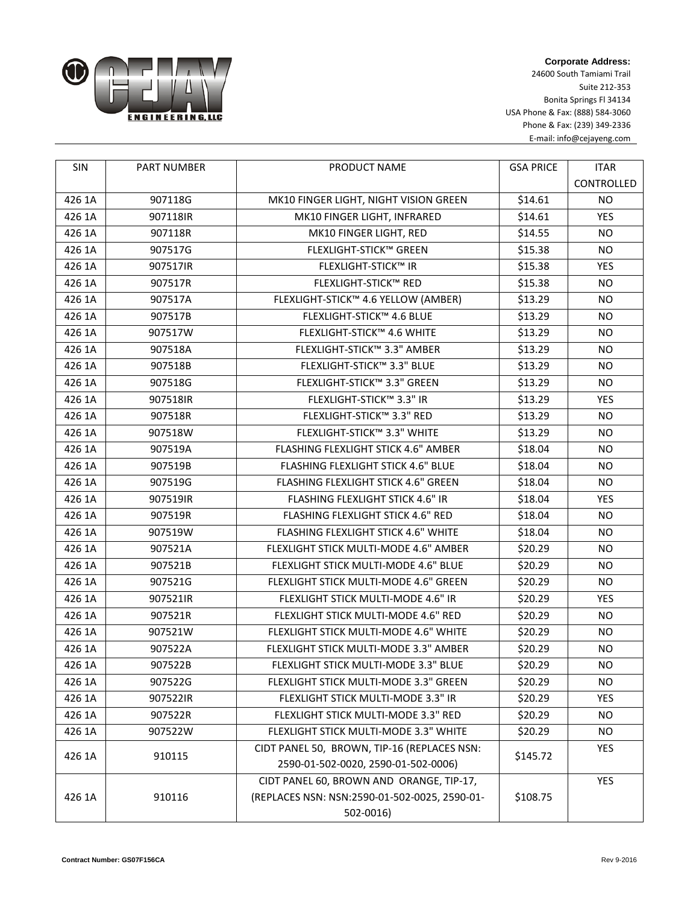

**Corporate Address:** 24600 South Tamiami Trail Suite 212-353 Bonita Springs Fl 34134 USA Phone & Fax: (888) 584-3060 Phone & Fax: (239) 349-2336 E-mail: info@cejayeng.com

| SIN    | <b>PART NUMBER</b> | PRODUCT NAME                                  | <b>GSA PRICE</b> | <b>ITAR</b>    |
|--------|--------------------|-----------------------------------------------|------------------|----------------|
|        |                    |                                               |                  | CONTROLLED     |
| 426 1A | 907118G            | MK10 FINGER LIGHT, NIGHT VISION GREEN         | \$14.61          | <b>NO</b>      |
| 426 1A | 907118IR           | MK10 FINGER LIGHT, INFRARED                   | \$14.61          | <b>YES</b>     |
| 426 1A | 907118R            | MK10 FINGER LIGHT, RED                        | \$14.55          | N <sub>O</sub> |
| 426 1A | 907517G            | <b>FLEXLIGHT-STICK™ GREEN</b>                 | \$15.38          | <b>NO</b>      |
| 426 1A | 907517IR           | <b>FLEXLIGHT-STICK™ IR</b>                    | \$15.38          | <b>YES</b>     |
| 426 1A | 907517R            | <b>FLEXLIGHT-STICK™ RED</b>                   | \$15.38          | NO.            |
| 426 1A | 907517A            | FLEXLIGHT-STICK™ 4.6 YELLOW (AMBER)           | \$13.29          | <b>NO</b>      |
| 426 1A | 907517B            | FLEXLIGHT-STICK™ 4.6 BLUE                     | \$13.29          | NO.            |
| 426 1A | 907517W            | FLEXLIGHT-STICK™ 4.6 WHITE                    | \$13.29          | <b>NO</b>      |
| 426 1A | 907518A            | FLEXLIGHT-STICK™ 3.3" AMBER                   | \$13.29          | <b>NO</b>      |
| 426 1A | 907518B            | FLEXLIGHT-STICK™ 3.3" BLUE                    | \$13.29          | <b>NO</b>      |
| 426 1A | 907518G            | FLEXLIGHT-STICK™ 3.3" GREEN                   | \$13.29          | <b>NO</b>      |
| 426 1A | 907518IR           | FLEXLIGHT-STICK™ 3.3" IR                      | \$13.29          | YES            |
| 426 1A | 907518R            | FLEXLIGHT-STICK™ 3.3" RED                     | \$13.29          | <b>NO</b>      |
| 426 1A | 907518W            | FLEXLIGHT-STICK™ 3.3" WHITE                   | \$13.29          | <b>NO</b>      |
| 426 1A | 907519A            | FLASHING FLEXLIGHT STICK 4.6" AMBER           | \$18.04          | NO.            |
| 426 1A | 907519B            | FLASHING FLEXLIGHT STICK 4.6" BLUE            | \$18.04          | <b>NO</b>      |
| 426 1A | 907519G            | FLASHING FLEXLIGHT STICK 4.6" GREEN           | \$18.04          | NO.            |
| 426 1A | 907519IR           | FLASHING FLEXLIGHT STICK 4.6" IR              | \$18.04          | <b>YES</b>     |
| 426 1A | 907519R            | FLASHING FLEXLIGHT STICK 4.6" RED             | \$18.04          | <b>NO</b>      |
| 426 1A | 907519W            | FLASHING FLEXLIGHT STICK 4.6" WHITE           | \$18.04          | NO.            |
| 426 1A | 907521A            | FLEXLIGHT STICK MULTI-MODE 4.6" AMBER         | \$20.29          | N <sub>O</sub> |
| 426 1A | 907521B            | FLEXLIGHT STICK MULTI-MODE 4.6" BLUE          | \$20.29          | NO.            |
| 426 1A | 907521G            | FLEXLIGHT STICK MULTI-MODE 4.6" GREEN         | \$20.29          | <b>NO</b>      |
| 426 1A | 907521IR           | FLEXLIGHT STICK MULTI-MODE 4.6" IR            | \$20.29          | YES            |
| 426 1A | 907521R            | FLEXLIGHT STICK MULTI-MODE 4.6" RED           | \$20.29          | <b>NO</b>      |
| 426 1A | 907521W            | FLEXLIGHT STICK MULTI-MODE 4.6" WHITE         | \$20.29          | NO.            |
| 426 1A | 907522A            | FLEXLIGHT STICK MULTI-MODE 3.3" AMBER         | \$20.29          | <b>NO</b>      |
| 426 1A | 907522B            | FLEXLIGHT STICK MULTI-MODE 3.3" BLUE          | \$20.29          | <b>NO</b>      |
| 426 1A | 907522G            | FLEXLIGHT STICK MULTI-MODE 3.3" GREEN         | \$20.29          | NO.            |
| 426 1A | 907522IR           | FLEXLIGHT STICK MULTI-MODE 3.3" IR            | \$20.29          | YES            |
| 426 1A | 907522R            | FLEXLIGHT STICK MULTI-MODE 3.3" RED           | \$20.29          | NO.            |
| 426 1A | 907522W            | FLEXLIGHT STICK MULTI-MODE 3.3" WHITE         | \$20.29          | <b>NO</b>      |
| 426 1A | 910115             | CIDT PANEL 50, BROWN, TIP-16 (REPLACES NSN:   | \$145.72         | YES            |
|        |                    | 2590-01-502-0020, 2590-01-502-0006)           |                  |                |
|        |                    | CIDT PANEL 60, BROWN AND ORANGE, TIP-17,      |                  | YES            |
| 426 1A | 910116             | (REPLACES NSN: NSN:2590-01-502-0025, 2590-01- | \$108.75         |                |
|        |                    | 502-0016)                                     |                  |                |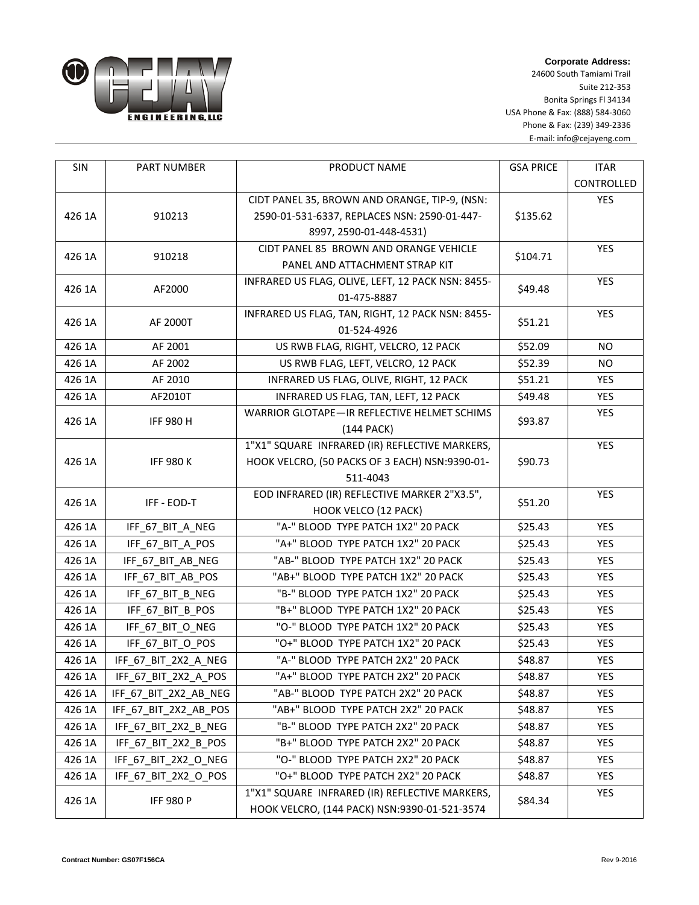

**Corporate Address:**

24600 South Tamiami Trail Suite 212-353 Bonita Springs Fl 34134 USA Phone & Fax: (888) 584-3060 Phone & Fax: (239) 349-2336 E-mail: info@cejayeng.com

| <b>SIN</b> | <b>PART NUMBER</b>    | PRODUCT NAME                                      | <b>GSA PRICE</b> | <b>ITAR</b> |
|------------|-----------------------|---------------------------------------------------|------------------|-------------|
|            |                       |                                                   |                  | CONTROLLED  |
|            |                       | CIDT PANEL 35, BROWN AND ORANGE, TIP-9, (NSN:     |                  | YES         |
| 426 1A     | 910213                | 2590-01-531-6337, REPLACES NSN: 2590-01-447-      | \$135.62         |             |
|            |                       | 8997, 2590-01-448-4531)                           |                  |             |
| 426 1A     | 910218                | CIDT PANEL 85 BROWN AND ORANGE VEHICLE            | \$104.71         | YES         |
|            |                       | PANEL AND ATTACHMENT STRAP KIT                    |                  |             |
| 426 1A     | AF2000                | INFRARED US FLAG, OLIVE, LEFT, 12 PACK NSN: 8455- | \$49.48          | <b>YES</b>  |
|            |                       | 01-475-8887                                       |                  |             |
| 426 1A     | AF 2000T              | INFRARED US FLAG, TAN, RIGHT, 12 PACK NSN: 8455-  | \$51.21          | YES         |
|            |                       | 01-524-4926                                       |                  |             |
| 426 1A     | AF 2001               | US RWB FLAG, RIGHT, VELCRO, 12 PACK               | \$52.09          | <b>NO</b>   |
| 426 1A     | AF 2002               | US RWB FLAG, LEFT, VELCRO, 12 PACK                | \$52.39          | <b>NO</b>   |
| 426 1A     | AF 2010               | INFRARED US FLAG, OLIVE, RIGHT, 12 PACK           | \$51.21          | YES         |
| 426 1A     | AF2010T               | INFRARED US FLAG, TAN, LEFT, 12 PACK              | \$49.48          | <b>YES</b>  |
| 426 1A     | <b>IFF 980 H</b>      | WARRIOR GLOTAPE-IR REFLECTIVE HELMET SCHIMS       | \$93.87          | YES         |
|            |                       | $(144$ PACK)                                      |                  |             |
|            |                       | 1"X1" SQUARE INFRARED (IR) REFLECTIVE MARKERS,    |                  | <b>YES</b>  |
| 426 1A     | <b>IFF 980 K</b>      | HOOK VELCRO, (50 PACKS OF 3 EACH) NSN:9390-01-    | \$90.73          |             |
|            |                       | 511-4043                                          |                  |             |
| 426 1A     | IFF - EOD-T           | EOD INFRARED (IR) REFLECTIVE MARKER 2"X3.5",      | \$51.20          | <b>YES</b>  |
|            |                       | HOOK VELCO (12 PACK)                              |                  |             |
| 426 1A     | IFF_67_BIT_A_NEG      | "A-" BLOOD TYPE PATCH 1X2" 20 PACK                | \$25.43          | <b>YES</b>  |
| 426 1A     | IFF_67_BIT_A_POS      | "A+" BLOOD TYPE PATCH 1X2" 20 PACK                | \$25.43          | YES         |
| 426 1A     | IFF_67_BIT_AB_NEG     | "AB-" BLOOD TYPE PATCH 1X2" 20 PACK               | \$25.43          | <b>YES</b>  |
| 426 1A     | IFF_67_BIT_AB_POS     | "AB+" BLOOD TYPE PATCH 1X2" 20 PACK               | \$25.43          | YES         |
| 426 1A     | IFF_67_BIT_B_NEG      | "B-" BLOOD TYPE PATCH 1X2" 20 PACK                | \$25.43          | YES         |
| 426 1A     | IFF 67 BIT B POS      | "B+" BLOOD TYPE PATCH 1X2" 20 PACK                | \$25.43          | <b>YES</b>  |
| 426 1A     | IFF_67_BIT_O_NEG      | "O-" BLOOD TYPE PATCH 1X2" 20 PACK                | \$25.43          | <b>YES</b>  |
| 426 1A     | IFF_67_BIT_O_POS      | "O+" BLOOD TYPE PATCH 1X2" 20 PACK                | \$25.43          | <b>YES</b>  |
| 426 1A     | IFF_67_BIT_2X2_A_NEG  | "A-" BLOOD TYPE PATCH 2X2" 20 PACK                | \$48.87          | YES         |
| 426 1A     | IFF_67_BIT_2X2_A_POS  | "A+" BLOOD TYPE PATCH 2X2" 20 PACK                | \$48.87          | <b>YES</b>  |
| 426 1A     | IFF_67_BIT_2X2_AB_NEG | "AB-" BLOOD TYPE PATCH 2X2" 20 PACK               | \$48.87          | YES         |
| 426 1A     | IFF_67_BIT_2X2_AB_POS | "AB+" BLOOD TYPE PATCH 2X2" 20 PACK               | \$48.87          | YES         |
| 426 1A     | IFF_67_BIT_2X2_B_NEG  | "B-" BLOOD TYPE PATCH 2X2" 20 PACK                | \$48.87          | YES         |
| 426 1A     | IFF 67 BIT 2X2 B POS  | "B+" BLOOD TYPE PATCH 2X2" 20 PACK                | \$48.87          | <b>YES</b>  |
| 426 1A     | IFF_67_BIT_2X2_O_NEG  | "O-" BLOOD TYPE PATCH 2X2" 20 PACK                | \$48.87          | YES         |
| 426 1A     | IFF_67_BIT_2X2_O_POS  | "O+" BLOOD TYPE PATCH 2X2" 20 PACK                | \$48.87          | YES         |
|            | <b>IFF 980 P</b>      | 1"X1" SQUARE INFRARED (IR) REFLECTIVE MARKERS,    | \$84.34          | YES         |
| 426 1A     |                       | HOOK VELCRO, (144 PACK) NSN:9390-01-521-3574      |                  |             |